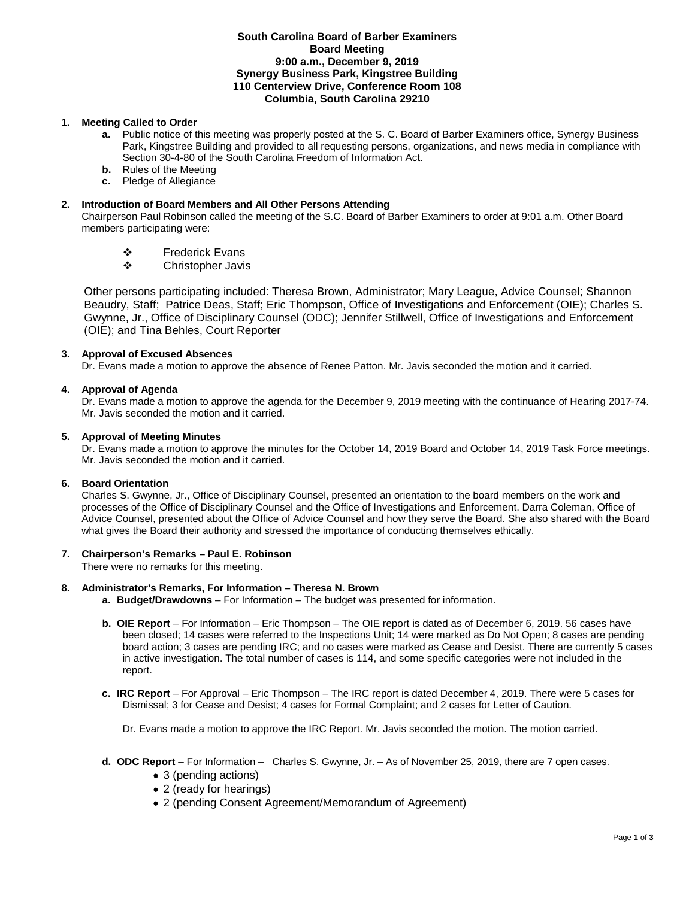### **South Carolina Board of Barber Examiners Board Meeting 9:00 a.m., December 9, 2019 Synergy Business Park, Kingstree Building 110 Centerview Drive, Conference Room 108 Columbia, South Carolina 29210**

# **1. Meeting Called to Order**

- **a.** Public notice of this meeting was properly posted at the S. C. Board of Barber Examiners office, Synergy Business Park, Kingstree Building and provided to all requesting persons, organizations, and news media in compliance with Section 30-4-80 of the South Carolina Freedom of Information Act.
- **b.** Rules of the Meeting
- **c.** Pledge of Allegiance

# **2. Introduction of Board Members and All Other Persons Attending**

Chairperson Paul Robinson called the meeting of the S.C. Board of Barber Examiners to order at 9:01 a.m. Other Board members participating were:

- ❖ Frederick Evans<br>❖ Christopher Javis
- Christopher Javis

Other persons participating included: Theresa Brown, Administrator; Mary League, Advice Counsel; Shannon Beaudry, Staff; Patrice Deas, Staff; Eric Thompson, Office of Investigations and Enforcement (OIE); Charles S. Gwynne, Jr., Office of Disciplinary Counsel (ODC); Jennifer Stillwell, Office of Investigations and Enforcement (OIE); and Tina Behles, Court Reporter

# **3. Approval of Excused Absences**

Dr. Evans made a motion to approve the absence of Renee Patton. Mr. Javis seconded the motion and it carried.

## **4. Approval of Agenda**

Dr. Evans made a motion to approve the agenda for the December 9, 2019 meeting with the continuance of Hearing 2017-74. Mr. Javis seconded the motion and it carried.

## **5. Approval of Meeting Minutes**

Dr. Evans made a motion to approve the minutes for the October 14, 2019 Board and October 14, 2019 Task Force meetings. Mr. Javis seconded the motion and it carried.

## **6. Board Orientation**

Charles S. Gwynne, Jr., Office of Disciplinary Counsel, presented an orientation to the board members on the work and processes of the Office of Disciplinary Counsel and the Office of Investigations and Enforcement. Darra Coleman, Office of Advice Counsel, presented about the Office of Advice Counsel and how they serve the Board. She also shared with the Board what gives the Board their authority and stressed the importance of conducting themselves ethically.

## **7. Chairperson's Remarks – Paul E. Robinson**

There were no remarks for this meeting.

## **8. Administrator's Remarks, For Information – Theresa N. Brown**

- **a. Budget/Drawdowns** For Information The budget was presented for information.
- **b. OIE Report**  For Information Eric Thompson The OIE report is dated as of December 6, 2019. 56 cases have been closed; 14 cases were referred to the Inspections Unit; 14 were marked as Do Not Open; 8 cases are pending board action; 3 cases are pending IRC; and no cases were marked as Cease and Desist. There are currently 5 cases in active investigation. The total number of cases is 114, and some specific categories were not included in the report.
- **c. IRC Report**  For Approval Eric Thompson The IRC report is dated December 4, 2019. There were 5 cases for Dismissal; 3 for Cease and Desist; 4 cases for Formal Complaint; and 2 cases for Letter of Caution.

Dr. Evans made a motion to approve the IRC Report. Mr. Javis seconded the motion. The motion carried.

- **d. ODC Report**  For Information Charles S. Gwynne, Jr. As of November 25, 2019, there are 7 open cases.
	- 3 (pending actions)
	- 2 (ready for hearings)
	- 2 (pending Consent Agreement/Memorandum of Agreement)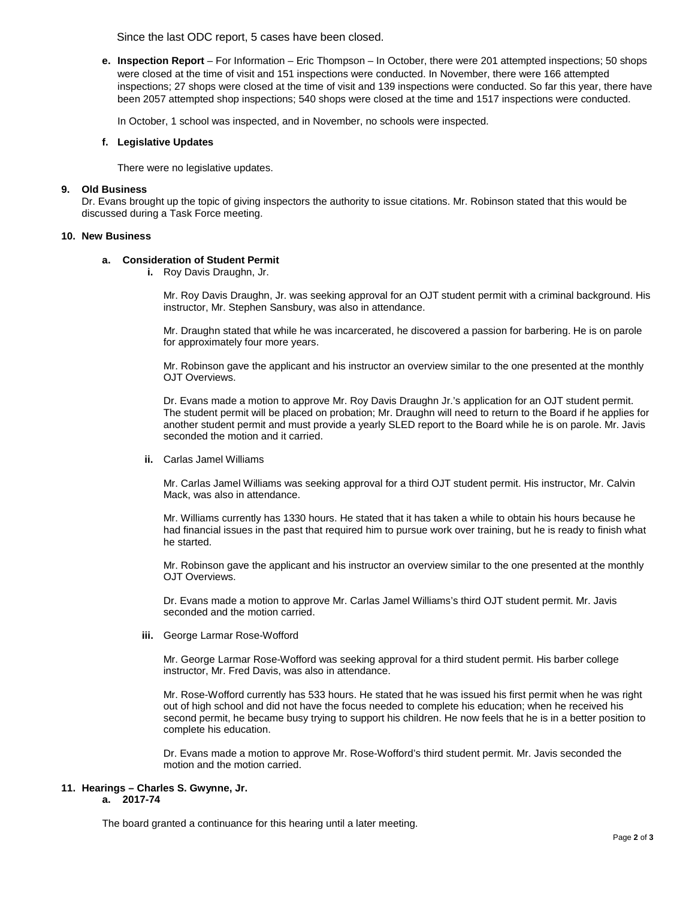Since the last ODC report, 5 cases have been closed.

**e. Inspection Report** – For Information – Eric Thompson – In October, there were 201 attempted inspections; 50 shops were closed at the time of visit and 151 inspections were conducted. In November, there were 166 attempted inspections; 27 shops were closed at the time of visit and 139 inspections were conducted. So far this year, there have been 2057 attempted shop inspections; 540 shops were closed at the time and 1517 inspections were conducted.

In October, 1 school was inspected, and in November, no schools were inspected.

#### **f. Legislative Updates**

There were no legislative updates.

### **9. Old Business**

Dr. Evans brought up the topic of giving inspectors the authority to issue citations. Mr. Robinson stated that this would be discussed during a Task Force meeting.

#### **10. New Business**

#### **a. Consideration of Student Permit**

**i.** Roy Davis Draughn, Jr.

Mr. Roy Davis Draughn, Jr. was seeking approval for an OJT student permit with a criminal background. His instructor, Mr. Stephen Sansbury, was also in attendance.

Mr. Draughn stated that while he was incarcerated, he discovered a passion for barbering. He is on parole for approximately four more years.

Mr. Robinson gave the applicant and his instructor an overview similar to the one presented at the monthly OJT Overviews.

Dr. Evans made a motion to approve Mr. Roy Davis Draughn Jr.'s application for an OJT student permit. The student permit will be placed on probation; Mr. Draughn will need to return to the Board if he applies for another student permit and must provide a yearly SLED report to the Board while he is on parole. Mr. Javis seconded the motion and it carried.

**ii.** Carlas Jamel Williams

Mr. Carlas Jamel Williams was seeking approval for a third OJT student permit. His instructor, Mr. Calvin Mack, was also in attendance.

Mr. Williams currently has 1330 hours. He stated that it has taken a while to obtain his hours because he had financial issues in the past that required him to pursue work over training, but he is ready to finish what he started.

Mr. Robinson gave the applicant and his instructor an overview similar to the one presented at the monthly OJT Overviews.

Dr. Evans made a motion to approve Mr. Carlas Jamel Williams's third OJT student permit. Mr. Javis seconded and the motion carried.

**iii.** George Larmar Rose-Wofford

Mr. George Larmar Rose-Wofford was seeking approval for a third student permit. His barber college instructor, Mr. Fred Davis, was also in attendance.

Mr. Rose-Wofford currently has 533 hours. He stated that he was issued his first permit when he was right out of high school and did not have the focus needed to complete his education; when he received his second permit, he became busy trying to support his children. He now feels that he is in a better position to complete his education.

Dr. Evans made a motion to approve Mr. Rose-Wofford's third student permit. Mr. Javis seconded the motion and the motion carried.

#### **11. Hearings – Charles S. Gwynne, Jr. a. 2017-74**

The board granted a continuance for this hearing until a later meeting.